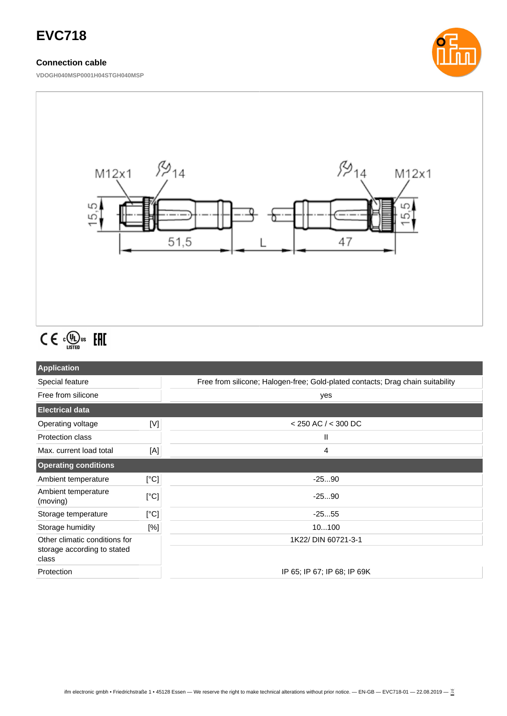# **EVC718**

### **Connection cable**

**VDOGH040MSP0001H04STGH040MSP**





# $C \in \mathbb{C}^{\mathbb{Q}}_{\text{LISTED}}$  FHI

| <b>Application</b>                   |      |                                                                                |  |
|--------------------------------------|------|--------------------------------------------------------------------------------|--|
| Special feature                      |      | Free from silicone; Halogen-free; Gold-plated contacts; Drag chain suitability |  |
| Free from silicone                   |      | yes                                                                            |  |
| <b>Electrical data</b>               |      |                                                                                |  |
| Operating voltage                    | [V]  | $<$ 250 AC / $<$ 300 DC                                                        |  |
| <b>Protection class</b>              |      | Ш                                                                              |  |
| Max. current load total              | [A]  | 4                                                                              |  |
| <b>Operating conditions</b>          |      |                                                                                |  |
| Ambient temperature                  | [°C] | $-2590$                                                                        |  |
| Ambient temperature<br>(moving)      | [°C] | $-2590$                                                                        |  |
| Storage temperature                  | [°C] | $-2555$                                                                        |  |
| Storage humidity                     | [%]  | 10100                                                                          |  |
| Other climatic conditions for        |      | 1K22/ DIN 60721-3-1                                                            |  |
| storage according to stated<br>class |      |                                                                                |  |
| Protection                           |      | IP 65; IP 67; IP 68; IP 69K                                                    |  |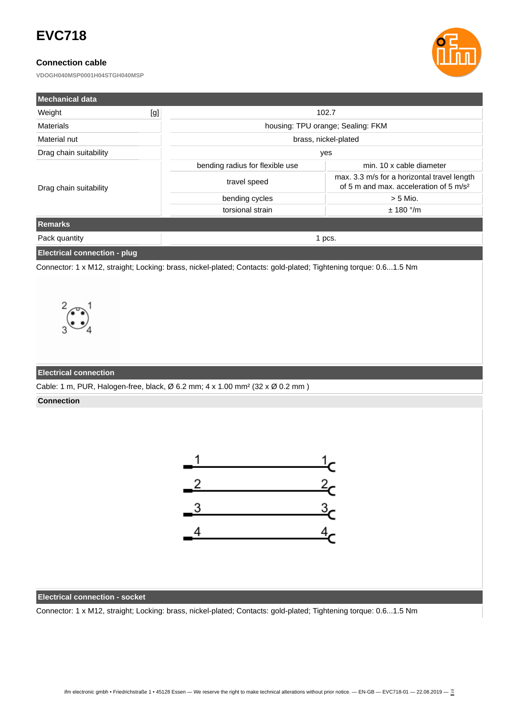# **EVC718**

## **Connection cable**

**VDOGH040MSP0001H04STGH040MSP**



| l Mechanical data                   |     |                                                                                                                  |                                                                                                   |  |
|-------------------------------------|-----|------------------------------------------------------------------------------------------------------------------|---------------------------------------------------------------------------------------------------|--|
| Weight                              | [g] | 102.7                                                                                                            |                                                                                                   |  |
| <b>Materials</b>                    |     | housing: TPU orange; Sealing: FKM                                                                                |                                                                                                   |  |
| Material nut                        |     | brass, nickel-plated                                                                                             |                                                                                                   |  |
| Drag chain suitability              |     | yes                                                                                                              |                                                                                                   |  |
| Drag chain suitability              |     | bending radius for flexible use                                                                                  | min. 10 x cable diameter                                                                          |  |
|                                     |     | travel speed                                                                                                     | max. 3.3 m/s for a horizontal travel length<br>of 5 m and max, acceleration of 5 m/s <sup>2</sup> |  |
|                                     |     | bending cycles                                                                                                   | $> 5$ Mio.                                                                                        |  |
|                                     |     | torsional strain                                                                                                 | $± 180$ °/m                                                                                       |  |
| <b>Remarks</b>                      |     |                                                                                                                  |                                                                                                   |  |
| Pack quantity                       |     | 1 pcs.                                                                                                           |                                                                                                   |  |
| <b>Electrical connection - plug</b> |     |                                                                                                                  |                                                                                                   |  |
|                                     |     | Connector: 1 x M12, straight; Locking: brass, nickel-plated; Contacts: gold-plated; Tightening torque: 0.61.5 Nm |                                                                                                   |  |



#### **Electrical connection**

Cable: 1 m, PUR, Halogen-free, black, Ø 6.2 mm; 4 x 1.00 mm² (32 x Ø 0.2 mm )

**Connection**



#### **Electrical connection - socket**

Connector: 1 x M12, straight; Locking: brass, nickel-plated; Contacts: gold-plated; Tightening torque: 0.6...1.5 Nm